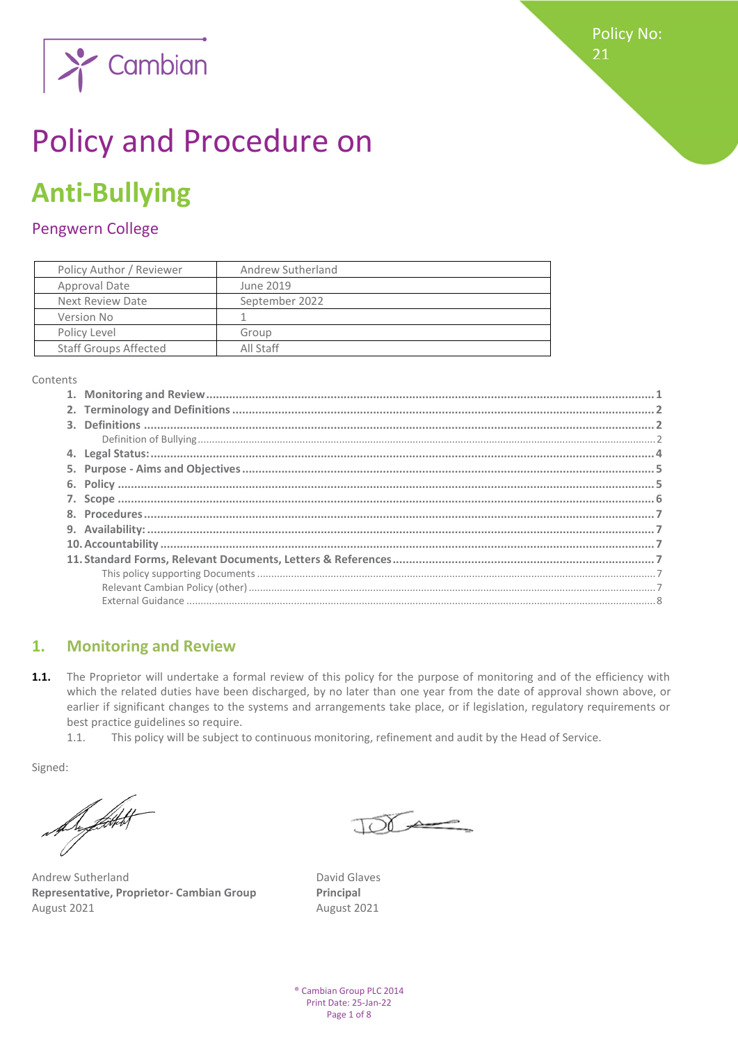Policy No: 21



# Policy and Procedure on

## **Anti-Bullying**

## Pengwern College

| Policy Author / Reviewer     | Andrew Sutherland |  |
|------------------------------|-------------------|--|
| Approval Date                | June 2019         |  |
| Next Review Date             | September 2022    |  |
| Version No                   |                   |  |
| Policy Level                 | Group             |  |
| <b>Staff Groups Affected</b> | All Staff         |  |

Contents

## <span id="page-0-0"></span>**1. Monitoring and Review**

- 1.1. The Proprietor will undertake a formal review of this policy for the purpose of monitoring and of the efficiency with which the related duties have been discharged, by no later than one year from the date of approval shown above, or earlier if significant changes to the systems and arrangements take place, or if legislation, regulatory requirements or best practice guidelines so require.
	- 1.1. This policy will be subject to continuous monitoring, refinement and audit by the Head of Service.

Signed:

Support

Andrew Sutherland David Glaves **Representative, Proprietor- Cambian Group Principal**  August 2021 August 2021

 $TOT \rightarrow$ 

® Cambian Group PLC 2014 Print Date: 25-Jan-22 Page 1 of 8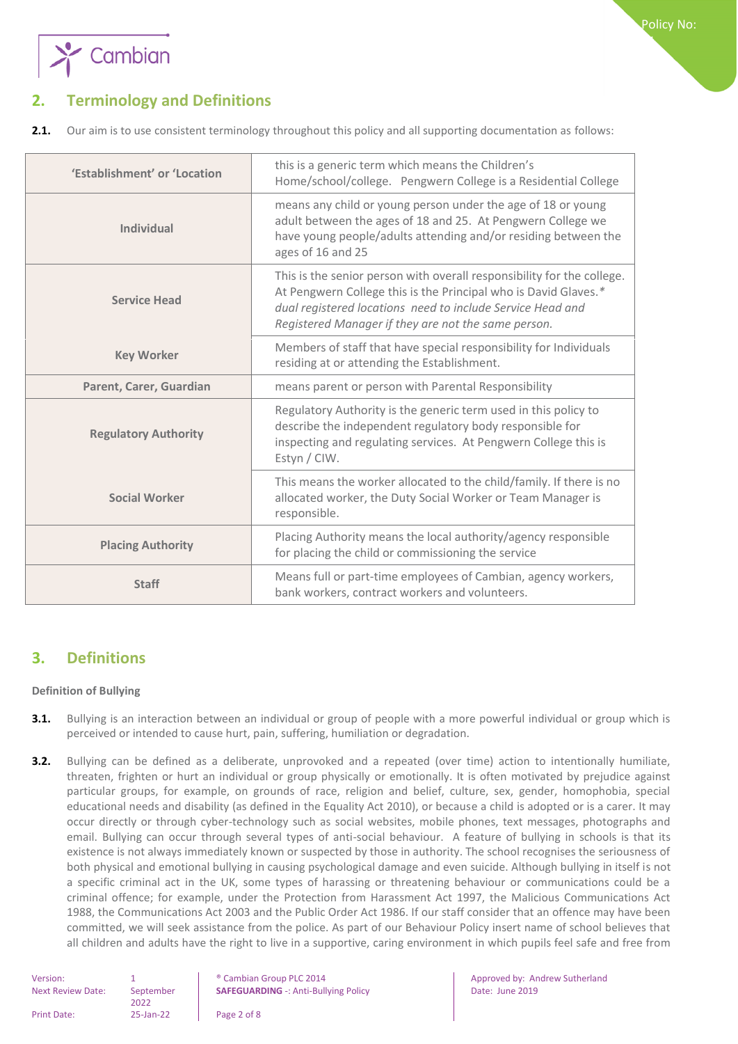

<span id="page-1-0"></span>**2.1.** Our aim is to use consistent terminology throughout this policy and all supporting documentation as follows:

| 'Establishment' or 'Location | this is a generic term which means the Children's<br>Home/school/college. Pengwern College is a Residential College                                                                                                                                            |
|------------------------------|----------------------------------------------------------------------------------------------------------------------------------------------------------------------------------------------------------------------------------------------------------------|
| <b>Individual</b>            | means any child or young person under the age of 18 or young<br>adult between the ages of 18 and 25. At Pengwern College we<br>have young people/adults attending and/or residing between the<br>ages of 16 and 25                                             |
| <b>Service Head</b>          | This is the senior person with overall responsibility for the college.<br>At Pengwern College this is the Principal who is David Glaves.*<br>dual registered locations need to include Service Head and<br>Registered Manager if they are not the same person. |
| <b>Key Worker</b>            | Members of staff that have special responsibility for Individuals<br>residing at or attending the Establishment.                                                                                                                                               |
| Parent, Carer, Guardian      | means parent or person with Parental Responsibility                                                                                                                                                                                                            |
| <b>Regulatory Authority</b>  | Regulatory Authority is the generic term used in this policy to<br>describe the independent regulatory body responsible for<br>inspecting and regulating services. At Pengwern College this is<br>Estyn / CIW.                                                 |
| <b>Social Worker</b>         | This means the worker allocated to the child/family. If there is no<br>allocated worker, the Duty Social Worker or Team Manager is<br>responsible.                                                                                                             |
| <b>Placing Authority</b>     | Placing Authority means the local authority/agency responsible<br>for placing the child or commissioning the service                                                                                                                                           |
| <b>Staff</b>                 | Means full or part-time employees of Cambian, agency workers,<br>bank workers, contract workers and volunteers.                                                                                                                                                |

## <span id="page-1-1"></span>**3. Definitions**

#### <span id="page-1-2"></span>**Definition of Bullying**

- **3.1.** Bullying is an interaction between an individual or group of people with a more powerful individual or group which is perceived or intended to cause hurt, pain, suffering, humiliation or degradation.
- **3.2.** Bullying can be defined as a deliberate, unprovoked and a repeated (over time) action to intentionally humiliate, threaten, frighten or hurt an individual or group physically or emotionally. It is often motivated by prejudice against particular groups, for example, on grounds of race, religion and belief, culture, sex, gender, homophobia, special educational needs and disability (as defined in the Equality Act 2010), or because a child is adopted or is a carer. It may occur directly or through cyber-technology such as social websites, mobile phones, text messages, photographs and email. Bullying can occur through several types of anti-social behaviour. A feature of bullying in schools is that its existence is not always immediately known or suspected by those in authority. The school recognises the seriousness of both physical and emotional bullying in causing psychological damage and even suicide. Although bullying in itself is not a specific criminal act in the UK, some types of harassing or threatening behaviour or communications could be a criminal offence; for example, under the Protection from Harassment Act 1997, the Malicious Communications Act 1988, the Communications Act 2003 and the Public Order Act 1986. If our staff consider that an offence may have been committed, we will seek assistance from the police. As part of our Behaviour Policy insert name of school believes that all children and adults have the right to live in a supportive, caring environment in which pupils feel safe and free from

| September       |  |
|-----------------|--|
| 2022            |  |
| $25$ -Jan- $22$ |  |
|                 |  |

• Cambian Group PLC 2014 **Approved by: Andrew Sutherland**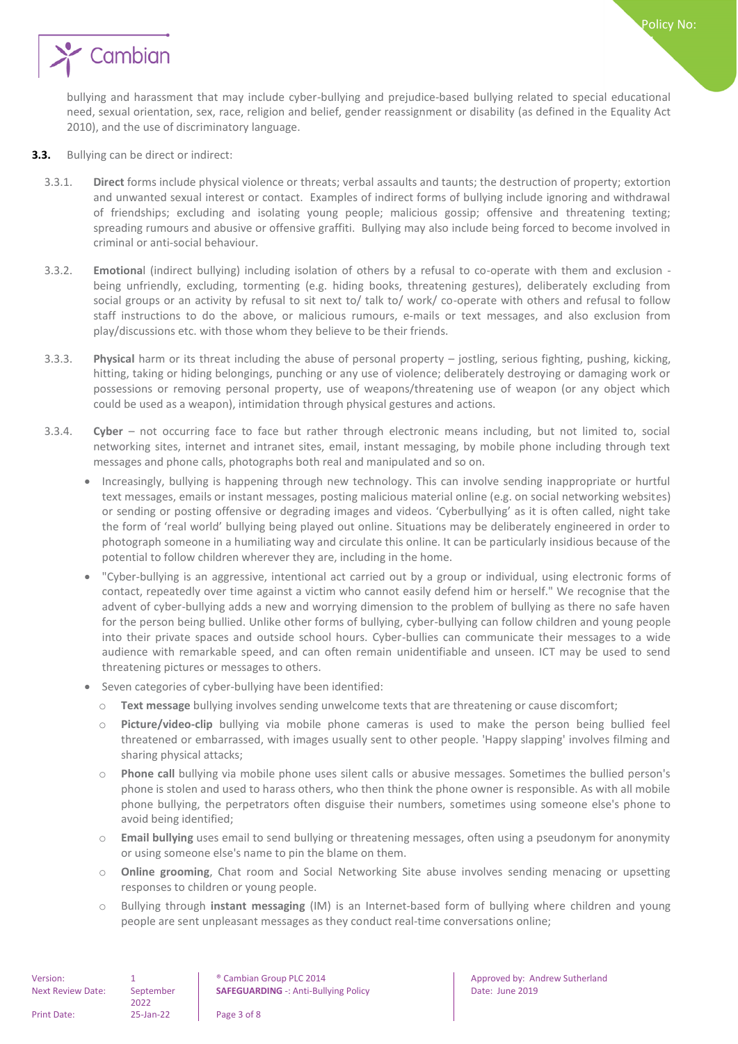

bullying and harassment that may include cyber-bullying and prejudice-based bullying related to special educational need, sexual orientation, sex, race, religion and belief, gender reassignment or disability (as defined in the Equality Act 2010), and the use of discriminatory language.

Policy No:

21

- **3.3.** Bullying can be direct or indirect:
	- 3.3.1. **Direct** forms include physical violence or threats; verbal assaults and taunts; the destruction of property; extortion and unwanted sexual interest or contact. Examples of indirect forms of bullying include ignoring and withdrawal of friendships; excluding and isolating young people; malicious gossip; offensive and threatening texting; spreading rumours and abusive or offensive graffiti. Bullying may also include being forced to become involved in criminal or anti-social behaviour.
	- 3.3.2. **Emotiona**l (indirect bullying) including isolation of others by a refusal to co-operate with them and exclusion being unfriendly, excluding, tormenting (e.g. hiding books, threatening gestures), deliberately excluding from social groups or an activity by refusal to sit next to/ talk to/ work/ co-operate with others and refusal to follow staff instructions to do the above, or malicious rumours, e-mails or text messages, and also exclusion from play/discussions etc. with those whom they believe to be their friends.
	- 3.3.3. **Physical** harm or its threat including the abuse of personal property jostling, serious fighting, pushing, kicking, hitting, taking or hiding belongings, punching or any use of violence; deliberately destroying or damaging work or possessions or removing personal property, use of weapons/threatening use of weapon (or any object which could be used as a weapon), intimidation through physical gestures and actions.
	- 3.3.4. **Cyber** not occurring face to face but rather through electronic means including, but not limited to, social networking sites, internet and intranet sites, email, instant messaging, by mobile phone including through text messages and phone calls, photographs both real and manipulated and so on.
		- Increasingly, bullying is happening through new technology. This can involve sending inappropriate or hurtful text messages, emails or instant messages, posting malicious material online (e.g. on social networking websites) or sending or posting offensive or degrading images and videos. 'Cyberbullying' as it is often called, night take the form of 'real world' bullying being played out online. Situations may be deliberately engineered in order to photograph someone in a humiliating way and circulate this online. It can be particularly insidious because of the potential to follow children wherever they are, including in the home.
		- "Cyber-bullying is an aggressive, intentional act carried out by a group or individual, using electronic forms of contact, repeatedly over time against a victim who cannot easily defend him or herself." We recognise that the advent of cyber-bullying adds a new and worrying dimension to the problem of bullying as there no safe haven for the person being bullied. Unlike other forms of bullying, cyber-bullying can follow children and young people into their private spaces and outside school hours. Cyber-bullies can communicate their messages to a wide audience with remarkable speed, and can often remain unidentifiable and unseen. ICT may be used to send threatening pictures or messages to others.
		- Seven categories of cyber-bullying have been identified:
			- o **Text message** bullying involves sending unwelcome texts that are threatening or cause discomfort;
			- o **Picture/video-clip** bullying via mobile phone cameras is used to make the person being bullied feel threatened or embarrassed, with images usually sent to other people. 'Happy slapping' involves filming and sharing physical attacks;
			- o **Phone call** bullying via mobile phone uses silent calls or abusive messages. Sometimes the bullied person's phone is stolen and used to harass others, who then think the phone owner is responsible. As with all mobile phone bullying, the perpetrators often disguise their numbers, sometimes using someone else's phone to avoid being identified;
			- o **Email bullying** uses email to send bullying or threatening messages, often using a pseudonym for anonymity or using someone else's name to pin the blame on them.
			- o **Online grooming**, Chat room and Social Networking Site abuse involves sending menacing or upsetting responses to children or young people.
			- o Bullying through **instant messaging** (IM) is an Internet-based form of bullying where children and young people are sent unpleasant messages as they conduct real-time conversations online;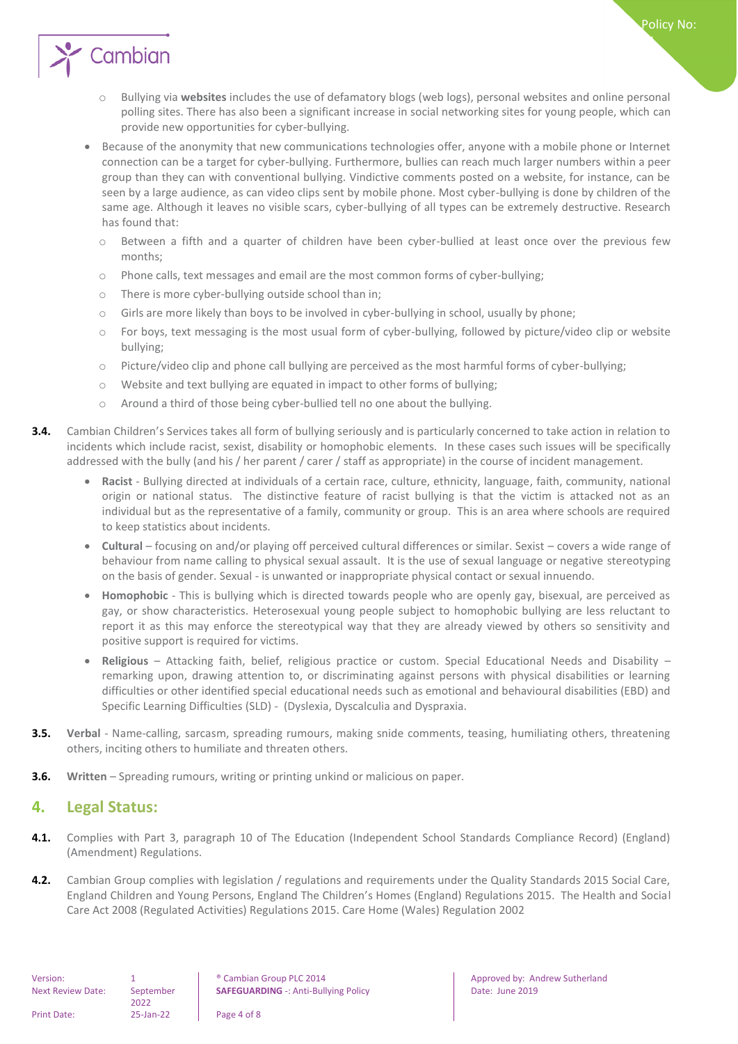

- o Bullying via **websites** includes the use of defamatory blogs (web logs), personal websites and online personal polling sites. There has also been a significant increase in social networking sites for young people, which can provide new opportunities for cyber-bullying.
- Because of the anonymity that new communications technologies offer, anyone with a mobile phone or Internet connection can be a target for cyber-bullying. Furthermore, bullies can reach much larger numbers within a peer group than they can with conventional bullying. Vindictive comments posted on a website, for instance, can be seen by a large audience, as can video clips sent by mobile phone. Most cyber-bullying is done by children of the same age. Although it leaves no visible scars, cyber-bullying of all types can be extremely destructive. Research has found that:
	- o Between a fifth and a quarter of children have been cyber-bullied at least once over the previous few months;
	- $\circ$  Phone calls, text messages and email are the most common forms of cyber-bullying;
	- o There is more cyber-bullying outside school than in;
	- o Girls are more likely than boys to be involved in cyber-bullying in school, usually by phone;
	- o For boys, text messaging is the most usual form of cyber-bullying, followed by picture/video clip or website bullying;
	- o Picture/video clip and phone call bullying are perceived as the most harmful forms of cyber-bullying;
	- o Website and text bullying are equated in impact to other forms of bullying;
	- o Around a third of those being cyber-bullied tell no one about the bullying.
- **3.4.** Cambian Children's Services takes all form of bullying seriously and is particularly concerned to take action in relation to incidents which include racist, sexist, disability or homophobic elements. In these cases such issues will be specifically addressed with the bully (and his / her parent / carer / staff as appropriate) in the course of incident management.
	- **Racist**  Bullying directed at individuals of a certain race, culture, ethnicity, language, faith, community, national origin or national status. The distinctive feature of racist bullying is that the victim is attacked not as an individual but as the representative of a family, community or group. This is an area where schools are required to keep statistics about incidents.
	- **Cultural** focusing on and/or playing off perceived cultural differences or similar. Sexist covers a wide range of behaviour from name calling to physical sexual assault. It is the use of sexual language or negative stereotyping on the basis of gender. Sexual - is unwanted or inappropriate physical contact or sexual innuendo.
	- **Homophobic** This is bullying which is directed towards people who are openly gay, bisexual, are perceived as gay, or show characteristics. Heterosexual young people subject to homophobic bullying are less reluctant to report it as this may enforce the stereotypical way that they are already viewed by others so sensitivity and positive support is required for victims.
	- **Religious** Attacking faith, belief, religious practice or custom. Special Educational Needs and Disability remarking upon, drawing attention to, or discriminating against persons with physical disabilities or learning difficulties or other identified special educational needs such as emotional and behavioural disabilities (EBD) and Specific Learning Difficulties (SLD) - (Dyslexia, Dyscalculia and Dyspraxia.
- **3.5. Verbal** Name-calling, sarcasm, spreading rumours, making snide comments, teasing, humiliating others, threatening others, inciting others to humiliate and threaten others.
- **3.6. Written** Spreading rumours, writing or printing unkind or malicious on paper.

#### <span id="page-3-0"></span>**4. Legal Status:**

- **4.1.** Complies with Part 3, paragraph 10 of The Education (Independent School Standards Compliance Record) (England) (Amendment) Regulations.
- **4.2.** Cambian Group complies with legislation / regulations and requirements under the Quality Standards 2015 Social Care, England Children and Young Persons, England The Children's Homes (England) Regulations 2015. The Health and Social Care Act 2008 (Regulated Activities) Regulations 2015. Care Home (Wales) Regulation 2002

**SAFEGUARDING** -: Anti-Bullying Policy **Date: University Policy** Date: June 2019

Version: 1 1 8 | ® Cambian Group PLC 2014 | Approved by: Andrew Sutherland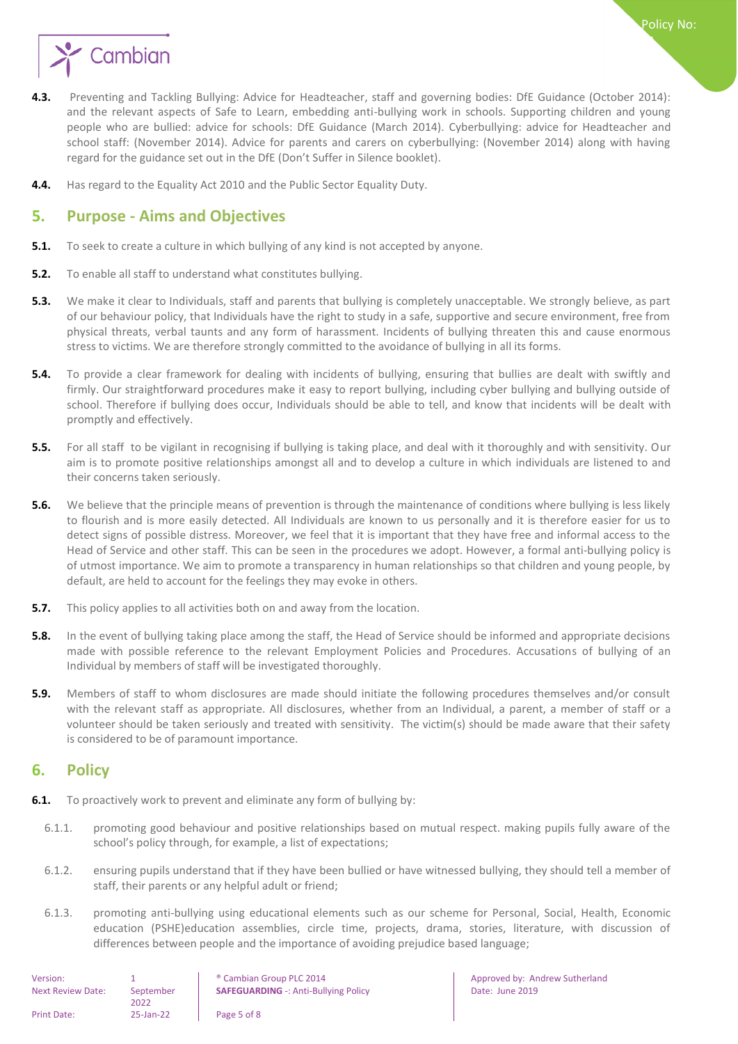

- **4.3.** Preventing and Tackling Bullying: Advice for Headteacher, staff and governing bodies: DfE Guidance (October 2014): and the relevant aspects of Safe to Learn, embedding anti-bullying work in schools. Supporting children and young people who are bullied: advice for schools: DfE Guidance (March 2014). Cyberbullying: advice for Headteacher and school staff: (November 2014). Advice for parents and carers on cyberbullying: (November 2014) along with having regard for the guidance set out in the DfE (Don't Suffer in Silence booklet).
- <span id="page-4-0"></span>**4.4.** Has regard to the Equality Act 2010 and the Public Sector Equality Duty.

### **5. Purpose - Aims and Objectives**

- **5.1.** To seek to create a culture in which bullying of any kind is not accepted by anyone.
- **5.2.** To enable all staff to understand what constitutes bullying.
- **5.3.** We make it clear to Individuals, staff and parents that bullying is completely unacceptable. We strongly believe, as part of our behaviour policy, that Individuals have the right to study in a safe, supportive and secure environment, free from physical threats, verbal taunts and any form of harassment. Incidents of bullying threaten this and cause enormous stress to victims. We are therefore strongly committed to the avoidance of bullying in all its forms.
- **5.4.** To provide a clear framework for dealing with incidents of bullying, ensuring that bullies are dealt with swiftly and firmly. Our straightforward procedures make it easy to report bullying, including cyber bullying and bullying outside of school. Therefore if bullying does occur, Individuals should be able to tell, and know that incidents will be dealt with promptly and effectively.
- **5.5.** For all staff to be vigilant in recognising if bullying is taking place, and deal with it thoroughly and with sensitivity. Our aim is to promote positive relationships amongst all and to develop a culture in which individuals are listened to and their concerns taken seriously.
- **5.6.** We believe that the principle means of prevention is through the maintenance of conditions where bullying is less likely to flourish and is more easily detected. All Individuals are known to us personally and it is therefore easier for us to detect signs of possible distress. Moreover, we feel that it is important that they have free and informal access to the Head of Service and other staff. This can be seen in the procedures we adopt. However, a formal anti-bullying policy is of utmost importance. We aim to promote a transparency in human relationships so that children and young people, by default, are held to account for the feelings they may evoke in others.
- **5.7.** This policy applies to all activities both on and away from the location.
- **5.8.** In the event of bullying taking place among the staff, the Head of Service should be informed and appropriate decisions made with possible reference to the relevant Employment Policies and Procedures. Accusations of bullying of an Individual by members of staff will be investigated thoroughly.
- **5.9.** Members of staff to whom disclosures are made should initiate the following procedures themselves and/or consult with the relevant staff as appropriate. All disclosures, whether from an Individual, a parent, a member of staff or a volunteer should be taken seriously and treated with sensitivity. The victim(s) should be made aware that their safety is considered to be of paramount importance.

#### <span id="page-4-1"></span>**6. Policy**

- **6.1.** To proactively work to prevent and eliminate any form of bullying by:
	- 6.1.1. promoting good behaviour and positive relationships based on mutual respect. making pupils fully aware of the school's policy through, for example, a list of expectations;
	- 6.1.2. ensuring pupils understand that if they have been bullied or have witnessed bullying, they should tell a member of staff, their parents or any helpful adult or friend;
	- 6.1.3. promoting anti-bullying using educational elements such as our scheme for Personal, Social, Health, Economic education (PSHE)education assemblies, circle time, projects, drama, stories, literature, with discussion of differences between people and the importance of avoiding prejudice based language;

| Version:                 |                 | <sup>®</sup> Cambian Group PLC 2014         |
|--------------------------|-----------------|---------------------------------------------|
| <b>Next Review Date:</b> | September       | <b>SAFEGUARDING -: Anti-Bullying Policy</b> |
|                          | 2022            |                                             |
| Print Date:              | $25$ -Jan- $22$ | Page 5 of 8                                 |

Approved by: Andrew Sutherland Date: June 2019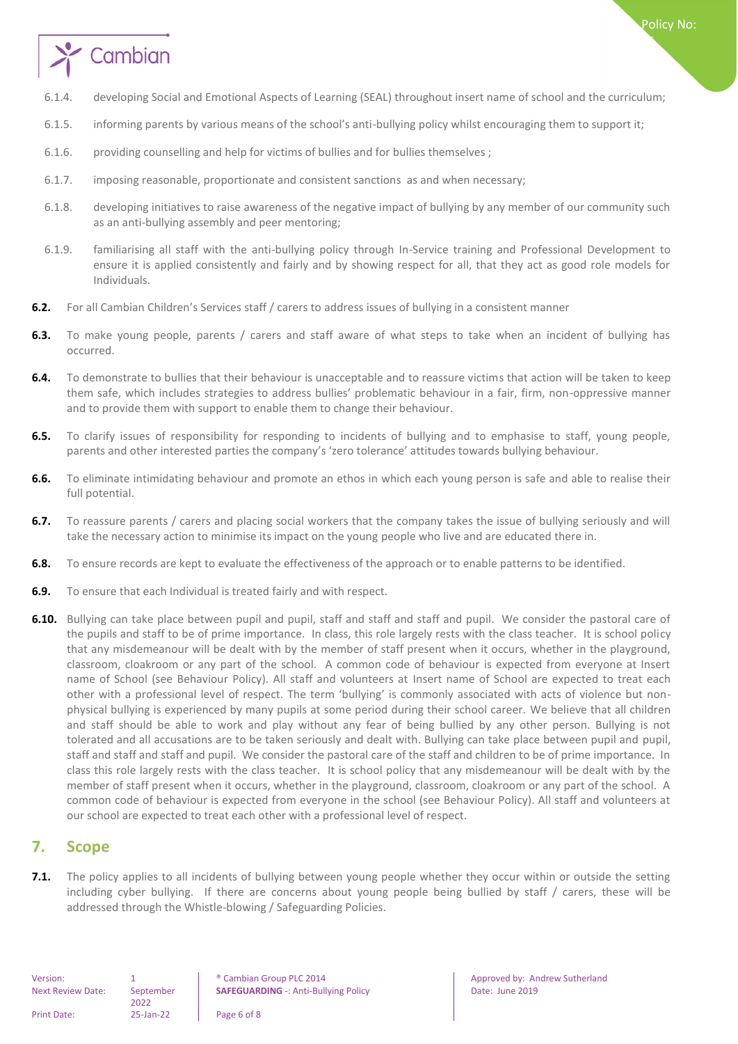

- 6.1.4. developing Social and Emotional Aspects of Learning (SEAL) throughout insert name of school and the curriculum;
- 6.1.5. informing parents by various means of the school's anti-bullying policy whilst encouraging them to support it;
- 6.1.6. providing counselling and help for victims of bullies and for bullies themselves ;
- 6.1.7. imposing reasonable, proportionate and consistent sanctions as and when necessary;
- 6.1.8. developing initiatives to raise awareness of the negative impact of bullying by any member of our community such as an anti-bullying assembly and peer mentoring;
- 6.1.9. familiarising all staff with the anti-bullying policy through In-Service training and Professional Development to ensure it is applied consistently and fairly and by showing respect for all, that they act as good role models for Individuals.
- **6.2.** For all Cambian Children's Services staff / carers to address issues of bullying in a consistent manner
- **6.3.** To make young people, parents / carers and staff aware of what steps to take when an incident of bullying has occurred.
- **6.4.** To demonstrate to bullies that their behaviour is unacceptable and to reassure victims that action will be taken to keep them safe, which includes strategies to address bullies' problematic behaviour in a fair, firm, non-oppressive manner and to provide them with support to enable them to change their behaviour.
- **6.5.** To clarify issues of responsibility for responding to incidents of bullying and to emphasise to staff, young people, parents and other interested parties the company's 'zero tolerance' attitudes towards bullying behaviour.
- **6.6.** To eliminate intimidating behaviour and promote an ethos in which each young person is safe and able to realise their full potential.
- **6.7.** To reassure parents / carers and placing social workers that the company takes the issue of bullying seriously and will take the necessary action to minimise its impact on the young people who live and are educated there in.
- **6.8.** To ensure records are kept to evaluate the effectiveness of the approach or to enable patterns to be identified.
- **6.9.** To ensure that each Individual is treated fairly and with respect.
- **6.10.** Bullying can take place between pupil and pupil, staff and staff and staff and pupil. We consider the pastoral care of the pupils and staff to be of prime importance. In class, this role largely rests with the class teacher. It is school policy that any misdemeanour will be dealt with by the member of staff present when it occurs, whether in the playground, classroom, cloakroom or any part of the school. A common code of behaviour is expected from everyone at Insert name of School (see Behaviour Policy). All staff and volunteers at Insert name of School are expected to treat each other with a professional level of respect. The term 'bullying' is commonly associated with acts of violence but nonphysical bullying is experienced by many pupils at some period during their school career. We believe that all children and staff should be able to work and play without any fear of being bullied by any other person. Bullying is not tolerated and all accusations are to be taken seriously and dealt with. Bullying can take place between pupil and pupil, staff and staff and staff and pupil. We consider the pastoral care of the staff and children to be of prime importance. In class this role largely rests with the class teacher. It is school policy that any misdemeanour will be dealt with by the member of staff present when it occurs, whether in the playground, classroom, cloakroom or any part of the school. A common code of behaviour is expected from everyone in the school (see Behaviour Policy). All staff and volunteers at our school are expected to treat each other with a professional level of respect.

#### <span id="page-5-0"></span>**7. Scope**

**7.1.** The policy applies to all incidents of bullying between young people whether they occur within or outside the setting including cyber bullying. If there are concerns about young people being bullied by staff / carers, these will be addressed through the Whistle-blowing / Safeguarding Policies.

Next Review Date: September 2022 Print Date: 25-Jan-22 Page 6 of 8

Version: 1 1 8 | ® Cambian Group PLC 2014 | Approved by: Andrew Sutherland **SAFEGUARDING** -: Anti-Bullying Policy **Date: University Policy** Date: June 2019

Policy No: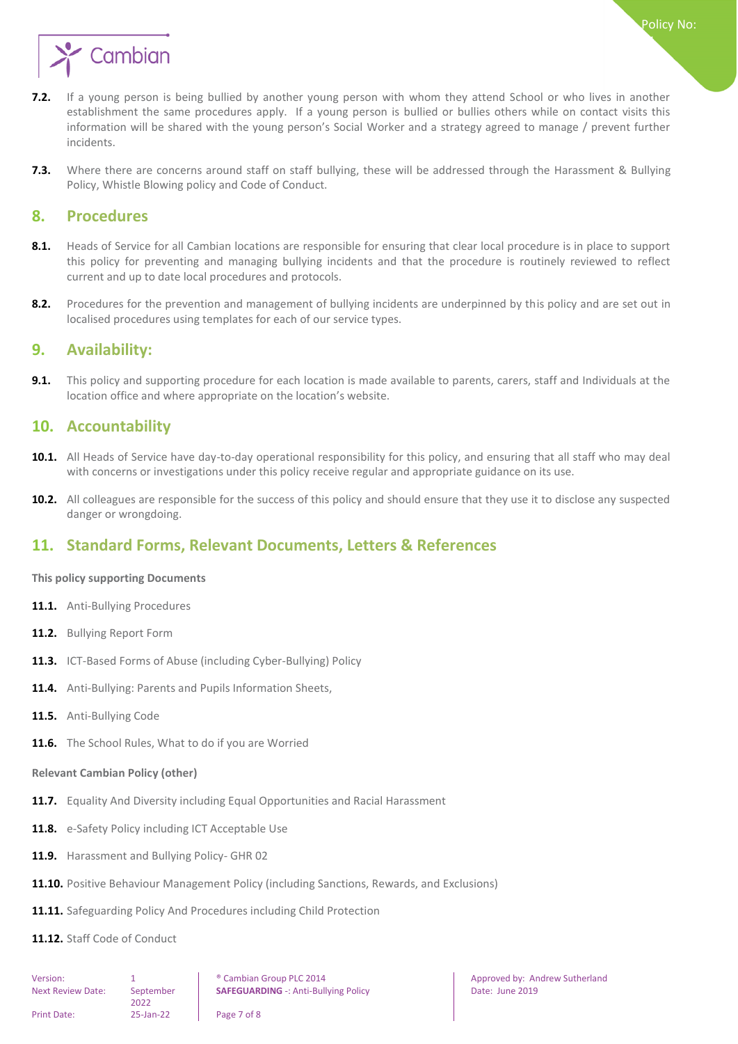

- **7.2.** If a young person is being bullied by another young person with whom they attend School or who lives in another establishment the same procedures apply. If a young person is bullied or bullies others while on contact visits this information will be shared with the young person's Social Worker and a strategy agreed to manage / prevent further incidents.
- **7.3.** Where there are concerns around staff on staff bullying, these will be addressed through the Harassment & Bullying Policy, Whistle Blowing policy and Code of Conduct.

#### <span id="page-6-0"></span>**8. Procedures**

- **8.1.** Heads of Service for all Cambian locations are responsible for ensuring that clear local procedure is in place to support this policy for preventing and managing bullying incidents and that the procedure is routinely reviewed to reflect current and up to date local procedures and protocols.
- 8.2. Procedures for the prevention and management of bullying incidents are underpinned by this policy and are set out in localised procedures using templates for each of our service types.

#### <span id="page-6-1"></span>**9. Availability:**

**9.1.** This policy and supporting procedure for each location is made available to parents, carers, staff and Individuals at the location office and where appropriate on the location's website.

#### <span id="page-6-2"></span>**10. Accountability**

- **10.1.** All Heads of Service have day-to-day operational responsibility for this policy, and ensuring that all staff who may deal with concerns or investigations under this policy receive regular and appropriate guidance on its use.
- **10.2.** All colleagues are responsible for the success of this policy and should ensure that they use it to disclose any suspected danger or wrongdoing.

#### <span id="page-6-3"></span>**11. Standard Forms, Relevant Documents, Letters & References**

#### <span id="page-6-4"></span>**This policy supporting Documents**

- **11.1.** Anti-Bullying Procedures
- **11.2.** Bullying Report Form
- **11.3.** ICT-Based Forms of Abuse (including Cyber-Bullying) Policy
- **11.4.** Anti-Bullying: Parents and Pupils Information Sheets,
- **11.5.** Anti-Bullying Code
- <span id="page-6-5"></span>**11.6.** The School Rules, What to do if you are Worried

#### **Relevant Cambian Policy (other)**

- **11.7.** Equality And Diversity including Equal Opportunities and Racial Harassment
- 11.8. e-Safety Policy including ICT Acceptable Use
- **11.9.** Harassment and Bullying Policy- GHR 02

2022

Print Date: 25-Jan-22 Page 7 of 8

- **11.10.** Positive Behaviour Management Policy (including Sanctions, Rewards, and Exclusions)
- **11.11.** Safeguarding Policy And Procedures including Child Protection
- **11.12.** Staff Code of Conduct

Version: 1 1 8 | ® Cambian Group PLC 2014 | Approved by: Andrew Sutherland